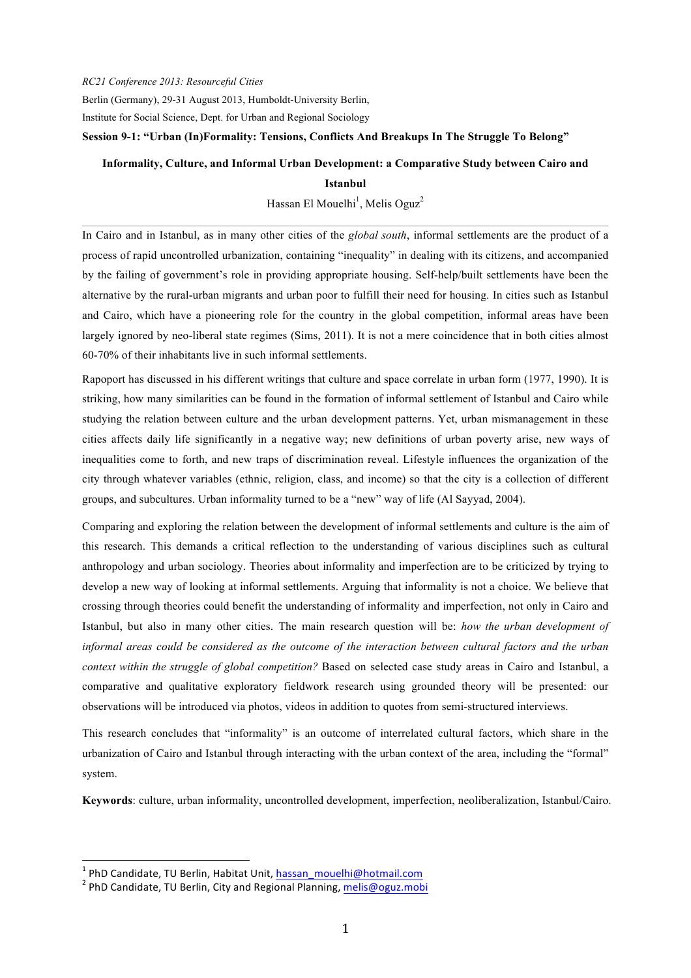*RC21 Conference 2013: Resourceful Cities* 

Berlin (Germany), 29-31 August 2013, Humboldt-University Berlin,

Institute for Social Science, Dept. for Urban and Regional Sociology

#### **Session 9-1: "Urban (In)Formality: Tensions, Conflicts And Breakups In The Struggle To Belong"**

### **Informality, Culture, and Informal Urban Development: a Comparative Study between Cairo and**

#### **Istanbul**

Hassan El Mouelhi<sup>1</sup>, Melis Oguz<sup>2</sup>

In Cairo and in Istanbul, as in many other cities of the *global south*, informal settlements are the product of a process of rapid uncontrolled urbanization, containing "inequality" in dealing with its citizens, and accompanied by the failing of government's role in providing appropriate housing. Self-help/built settlements have been the alternative by the rural-urban migrants and urban poor to fulfill their need for housing. In cities such as Istanbul and Cairo, which have a pioneering role for the country in the global competition, informal areas have been largely ignored by neo-liberal state regimes (Sims, 2011). It is not a mere coincidence that in both cities almost 60-70% of their inhabitants live in such informal settlements.

Rapoport has discussed in his different writings that culture and space correlate in urban form (1977, 1990). It is striking, how many similarities can be found in the formation of informal settlement of Istanbul and Cairo while studying the relation between culture and the urban development patterns. Yet, urban mismanagement in these cities affects daily life significantly in a negative way; new definitions of urban poverty arise, new ways of inequalities come to forth, and new traps of discrimination reveal. Lifestyle influences the organization of the city through whatever variables (ethnic, religion, class, and income) so that the city is a collection of different groups, and subcultures. Urban informality turned to be a "new" way of life (Al Sayyad, 2004).

Comparing and exploring the relation between the development of informal settlements and culture is the aim of this research. This demands a critical reflection to the understanding of various disciplines such as cultural anthropology and urban sociology. Theories about informality and imperfection are to be criticized by trying to develop a new way of looking at informal settlements. Arguing that informality is not a choice. We believe that crossing through theories could benefit the understanding of informality and imperfection, not only in Cairo and Istanbul, but also in many other cities. The main research question will be: *how the urban development of informal areas could be considered as the outcome of the interaction between cultural factors and the urban context within the struggle of global competition?* Based on selected case study areas in Cairo and Istanbul, a comparative and qualitative exploratory fieldwork research using grounded theory will be presented: our observations will be introduced via photos, videos in addition to quotes from semi-structured interviews.

This research concludes that "informality" is an outcome of interrelated cultural factors, which share in the urbanization of Cairo and Istanbul through interacting with the urban context of the area, including the "formal" system.

**Keywords**: culture, urban informality, uncontrolled development, imperfection, neoliberalization, Istanbul/Cairo.

<sup>&</sup>lt;sup>1</sup> PhD Candidate, TU Berlin, Habitat Unit, **hassan\_mouelhi@hotmail.com**<br><sup>2</sup> PhD Candidate. TU Berlin, City and Regional Planning, melis@oguz.mobi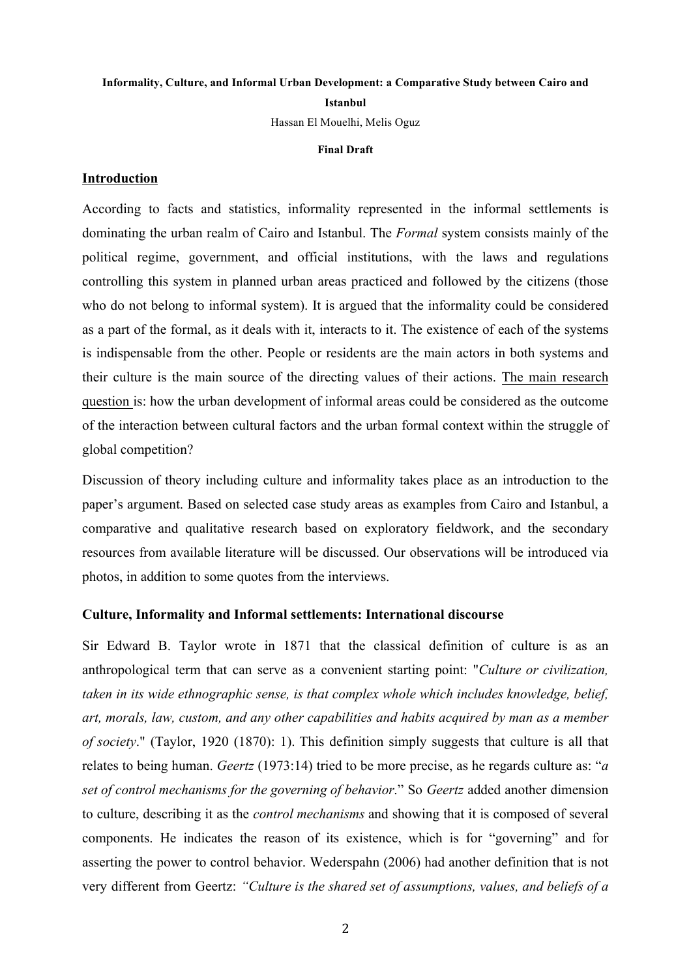# **Informality, Culture, and Informal Urban Development: a Comparative Study between Cairo and Istanbul**

Hassan El Mouelhi, Melis Oguz

#### **Final Draft**

### **Introduction**

According to facts and statistics, informality represented in the informal settlements is dominating the urban realm of Cairo and Istanbul. The *Formal* system consists mainly of the political regime, government, and official institutions, with the laws and regulations controlling this system in planned urban areas practiced and followed by the citizens (those who do not belong to informal system). It is argued that the informality could be considered as a part of the formal, as it deals with it, interacts to it. The existence of each of the systems is indispensable from the other. People or residents are the main actors in both systems and their culture is the main source of the directing values of their actions. The main research question is: how the urban development of informal areas could be considered as the outcome of the interaction between cultural factors and the urban formal context within the struggle of global competition?

Discussion of theory including culture and informality takes place as an introduction to the paper's argument. Based on selected case study areas as examples from Cairo and Istanbul, a comparative and qualitative research based on exploratory fieldwork, and the secondary resources from available literature will be discussed. Our observations will be introduced via photos, in addition to some quotes from the interviews.

#### **Culture, Informality and Informal settlements: International discourse**

Sir Edward B. Taylor wrote in 1871 that the classical definition of culture is as an anthropological term that can serve as a convenient starting point: "*Culture or civilization, taken in its wide ethnographic sense, is that complex whole which includes knowledge, belief, art, morals, law, custom, and any other capabilities and habits acquired by man as a member of society*." (Taylor, 1920 (1870): 1). This definition simply suggests that culture is all that relates to being human. *Geertz* (1973:14) tried to be more precise, as he regards culture as: "*a set of control mechanisms for the governing of behavior*." So *Geertz* added another dimension to culture, describing it as the *control mechanisms* and showing that it is composed of several components. He indicates the reason of its existence, which is for "governing" and for asserting the power to control behavior. Wederspahn (2006) had another definition that is not very different from Geertz: *"Culture is the shared set of assumptions, values, and beliefs of a*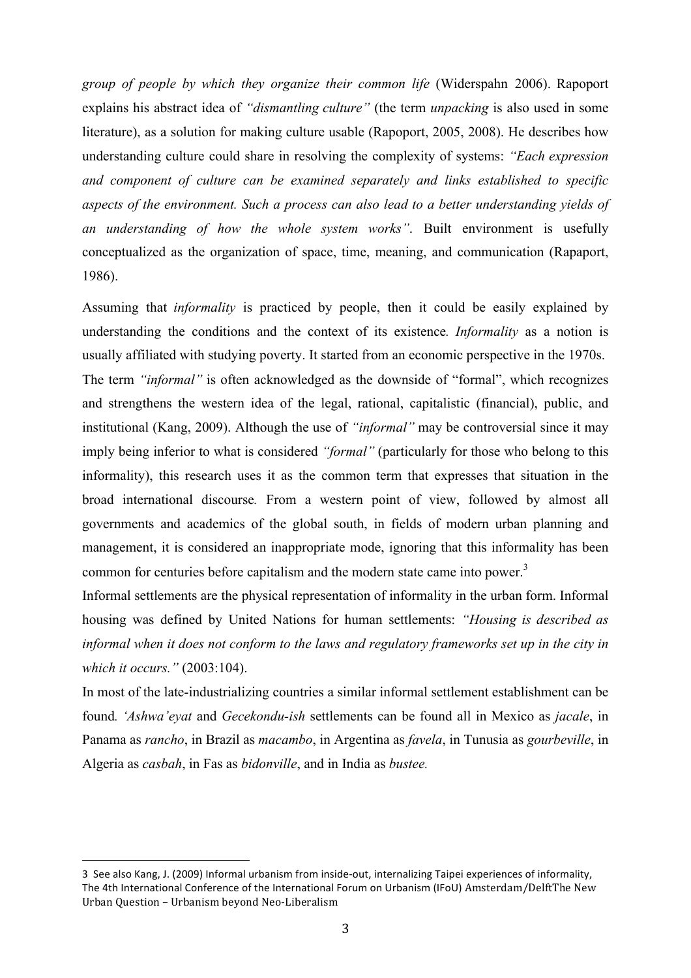*group of people by which they organize their common life* (Widerspahn 2006). Rapoport explains his abstract idea of *"dismantling culture"* (the term *unpacking* is also used in some literature), as a solution for making culture usable (Rapoport, 2005, 2008). He describes how understanding culture could share in resolving the complexity of systems: *"Each expression and component of culture can be examined separately and links established to specific aspects of the environment. Such a process can also lead to a better understanding yields of an understanding of how the whole system works"*. Built environment is usefully conceptualized as the organization of space, time, meaning, and communication (Rapaport, 1986).

Assuming that *informality* is practiced by people, then it could be easily explained by understanding the conditions and the context of its existence*. Informality* as a notion is usually affiliated with studying poverty. It started from an economic perspective in the 1970s. The term *"informal"* is often acknowledged as the downside of "formal", which recognizes and strengthens the western idea of the legal, rational, capitalistic (financial), public, and institutional (Kang, 2009). Although the use of *"informal"* may be controversial since it may imply being inferior to what is considered *"formal"* (particularly for those who belong to this informality), this research uses it as the common term that expresses that situation in the broad international discourse*.* From a western point of view, followed by almost all governments and academics of the global south, in fields of modern urban planning and management, it is considered an inappropriate mode, ignoring that this informality has been common for centuries before capitalism and the modern state came into power.<sup>3</sup>

Informal settlements are the physical representation of informality in the urban form. Informal housing was defined by United Nations for human settlements: *"Housing is described as*  informal when it does not conform to the laws and regulatory frameworks set up in the city in *which it occurs."* (2003:104).

In most of the late-industrializing countries a similar informal settlement establishment can be found*. 'Ashwa'eyat* and *Gecekondu-ish* settlements can be found all in Mexico as *jacale*, in Panama as *rancho*, in Brazil as *macambo*, in Argentina as *favela*, in Tunusia as *gourbeville*, in Algeria as *casbah*, in Fas as *bidonville*, and in India as *bustee.* 

!!!!!!!!!!!!!!!!!!!!!!!!!!!!!!!!!!!!!!!!!!!!!!!!!!!!!!!

<sup>3&</sup>quot; See also Kang, J. (2009) Informal urbanism from inside-out, internalizing Taipei experiences of informality, The 4th International Conference of the International Forum on Urbanism (IFoU) Amsterdam/DelftThe New Urban Question – Urbanism beyond Neo-Liberalism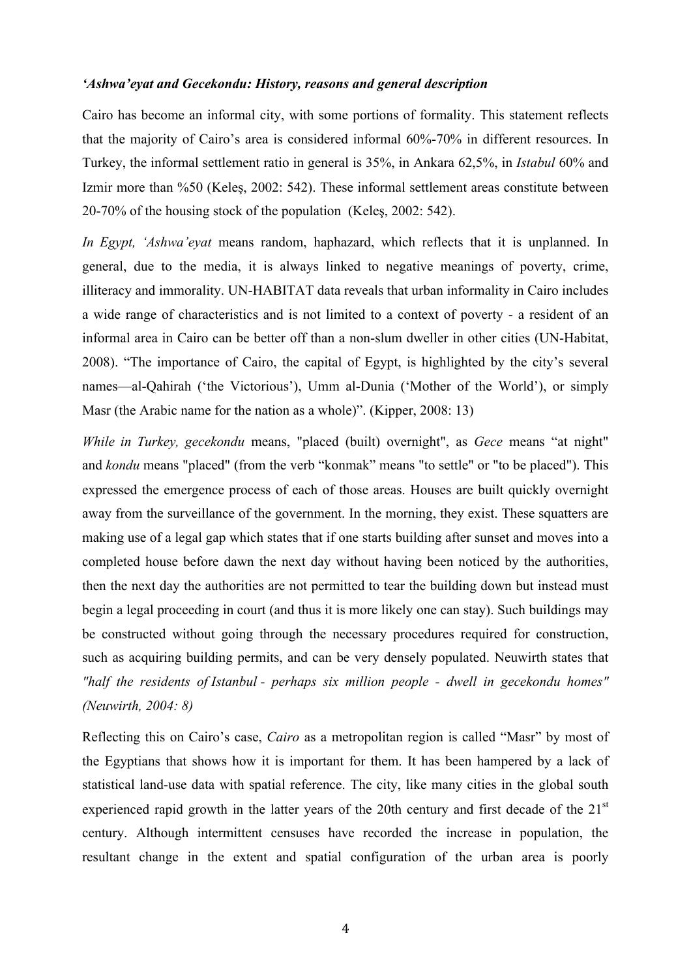# *'Ashwa'eyat and Gecekondu: History, reasons and general description*

Cairo has become an informal city, with some portions of formality. This statement reflects that the majority of Cairo's area is considered informal 60%-70% in different resources. In Turkey, the informal settlement ratio in general is 35%, in Ankara 62,5%, in *Istabul* 60% and Izmir more than %50 (Keleş, 2002: 542). These informal settlement areas constitute between 20-70% of the housing stock of the population (Keleş, 2002: 542).

*In Egypt, 'Ashwa'eyat* means random, haphazard, which reflects that it is unplanned. In general, due to the media, it is always linked to negative meanings of poverty, crime, illiteracy and immorality. UN-HABITAT data reveals that urban informality in Cairo includes a wide range of characteristics and is not limited to a context of poverty - a resident of an informal area in Cairo can be better off than a non-slum dweller in other cities (UN-Habitat, 2008). "The importance of Cairo, the capital of Egypt, is highlighted by the city's several names—al-Qahirah ('the Victorious'), Umm al-Dunia ('Mother of the World'), or simply Masr (the Arabic name for the nation as a whole)". (Kipper, 2008: 13)

*While in Turkey, gecekondu* means, "placed (built) overnight", as *Gece* means "at night" and *kondu* means "placed" (from the verb "konmak" means "to settle" or "to be placed"). This expressed the emergence process of each of those areas. Houses are built quickly overnight away from the surveillance of the government. In the morning, they exist. These squatters are making use of a legal gap which states that if one starts building after sunset and moves into a completed house before dawn the next day without having been noticed by the authorities, then the next day the authorities are not permitted to tear the building down but instead must begin a legal proceeding in court (and thus it is more likely one can stay). Such buildings may be constructed without going through the necessary procedures required for construction, such as acquiring building permits, and can be very densely populated. Neuwirth states that *"half the residents of Istanbul - perhaps six million people - dwell in gecekondu homes" (Neuwirth, 2004: 8)*

Reflecting this on Cairo's case, *Cairo* as a metropolitan region is called "Masr" by most of the Egyptians that shows how it is important for them. It has been hampered by a lack of statistical land-use data with spatial reference. The city, like many cities in the global south experienced rapid growth in the latter years of the 20th century and first decade of the  $21<sup>st</sup>$ century. Although intermittent censuses have recorded the increase in population, the resultant change in the extent and spatial configuration of the urban area is poorly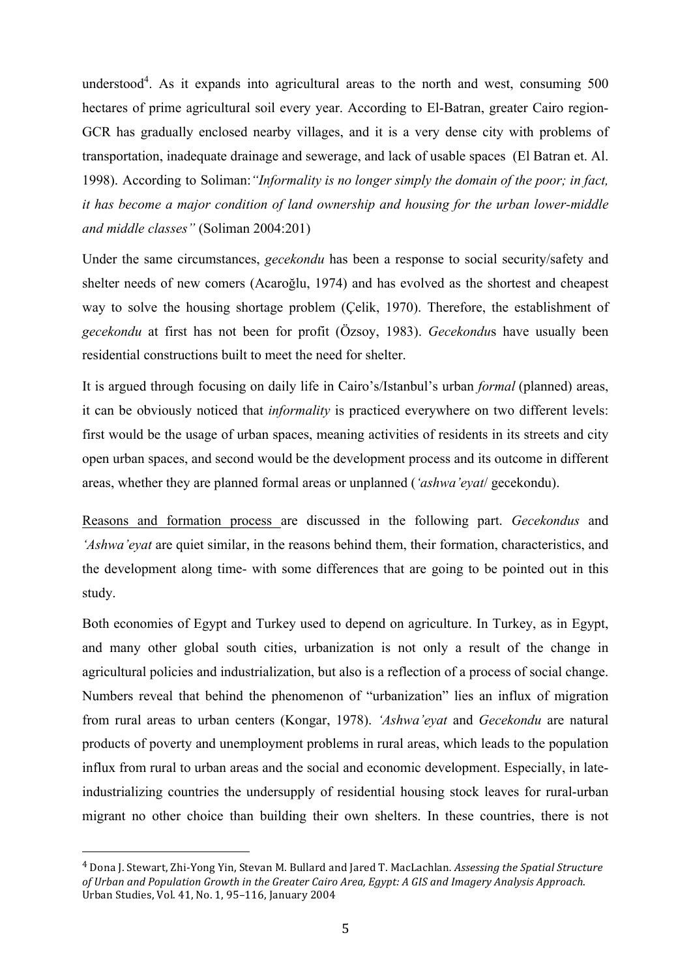understood<sup>4</sup>. As it expands into agricultural areas to the north and west, consuming 500 hectares of prime agricultural soil every year. According to El-Batran, greater Cairo region-GCR has gradually enclosed nearby villages, and it is a very dense city with problems of transportation, inadequate drainage and sewerage, and lack of usable spaces (El Batran et. Al. 1998). According to Soliman:*"Informality is no longer simply the domain of the poor; in fact, it has become a major condition of land ownership and housing for the urban lower-middle and middle classes"* (Soliman 2004:201)

Under the same circumstances, *gecekondu* has been a response to social security/safety and shelter needs of new comers (Acaroğlu, 1974) and has evolved as the shortest and cheapest way to solve the housing shortage problem (Çelik, 1970). Therefore, the establishment of *gecekondu* at first has not been for profit (Özsoy, 1983). *Gecekondu*s have usually been residential constructions built to meet the need for shelter.

It is argued through focusing on daily life in Cairo's/Istanbul's urban *formal* (planned) areas, it can be obviously noticed that *informality* is practiced everywhere on two different levels: first would be the usage of urban spaces, meaning activities of residents in its streets and city open urban spaces, and second would be the development process and its outcome in different areas, whether they are planned formal areas or unplanned (*'ashwa'eyat*/ gecekondu).

Reasons and formation process are discussed in the following part. *Gecekondus* and *'Ashwa'eyat* are quiet similar, in the reasons behind them, their formation, characteristics, and the development along time- with some differences that are going to be pointed out in this study.

Both economies of Egypt and Turkey used to depend on agriculture. In Turkey, as in Egypt, and many other global south cities, urbanization is not only a result of the change in agricultural policies and industrialization, but also is a reflection of a process of social change. Numbers reveal that behind the phenomenon of "urbanization" lies an influx of migration from rural areas to urban centers (Kongar, 1978). *'Ashwa'eyat* and *Gecekondu* are natural products of poverty and unemployment problems in rural areas, which leads to the population influx from rural to urban areas and the social and economic development. Especially, in lateindustrializing countries the undersupply of residential housing stock leaves for rural-urban migrant no other choice than building their own shelters. In these countries, there is not

!!!!!!!!!!!!!!!!!!!!!!!!!!!!!!!!!!!!!!!!!!!!!!!!!!!!!!!

<sup>&</sup>lt;sup>4</sup> Dona J. Stewart, Zhi-Yong Yin, Stevan M. Bullard and Jared T. MacLachlan. Assessing the Spatial Structure of Urban and Population Growth in the Greater Cairo Area, Egypt: A GIS and Imagery Analysis Approach. Urban Studies, Vol. 41, No. 1, 95–116, January 2004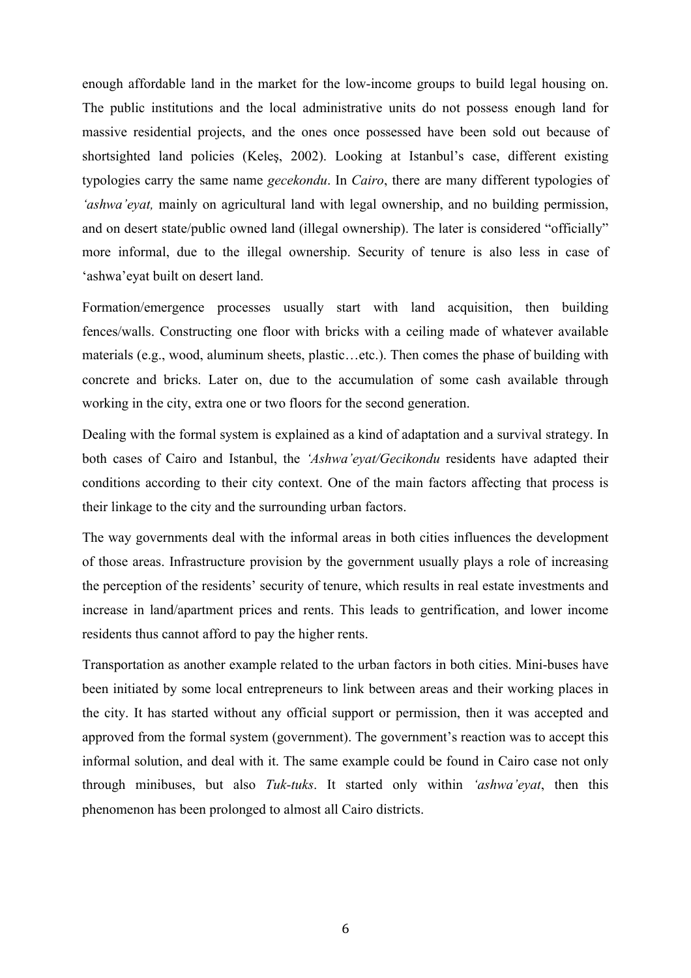enough affordable land in the market for the low-income groups to build legal housing on. The public institutions and the local administrative units do not possess enough land for massive residential projects, and the ones once possessed have been sold out because of shortsighted land policies (Keleş, 2002). Looking at Istanbul's case, different existing typologies carry the same name *gecekondu*. In *Cairo*, there are many different typologies of *'ashwa'eyat,* mainly on agricultural land with legal ownership, and no building permission, and on desert state/public owned land (illegal ownership). The later is considered "officially" more informal, due to the illegal ownership. Security of tenure is also less in case of 'ashwa'eyat built on desert land.

Formation/emergence processes usually start with land acquisition, then building fences/walls. Constructing one floor with bricks with a ceiling made of whatever available materials (e.g., wood, aluminum sheets, plastic…etc.). Then comes the phase of building with concrete and bricks. Later on, due to the accumulation of some cash available through working in the city, extra one or two floors for the second generation.

Dealing with the formal system is explained as a kind of adaptation and a survival strategy. In both cases of Cairo and Istanbul, the *'Ashwa'eyat/Gecikondu* residents have adapted their conditions according to their city context. One of the main factors affecting that process is their linkage to the city and the surrounding urban factors.

The way governments deal with the informal areas in both cities influences the development of those areas. Infrastructure provision by the government usually plays a role of increasing the perception of the residents' security of tenure, which results in real estate investments and increase in land/apartment prices and rents. This leads to gentrification, and lower income residents thus cannot afford to pay the higher rents.

Transportation as another example related to the urban factors in both cities. Mini-buses have been initiated by some local entrepreneurs to link between areas and their working places in the city. It has started without any official support or permission, then it was accepted and approved from the formal system (government). The government's reaction was to accept this informal solution, and deal with it. The same example could be found in Cairo case not only through minibuses, but also *Tuk-tuks*. It started only within *'ashwa'eyat*, then this phenomenon has been prolonged to almost all Cairo districts.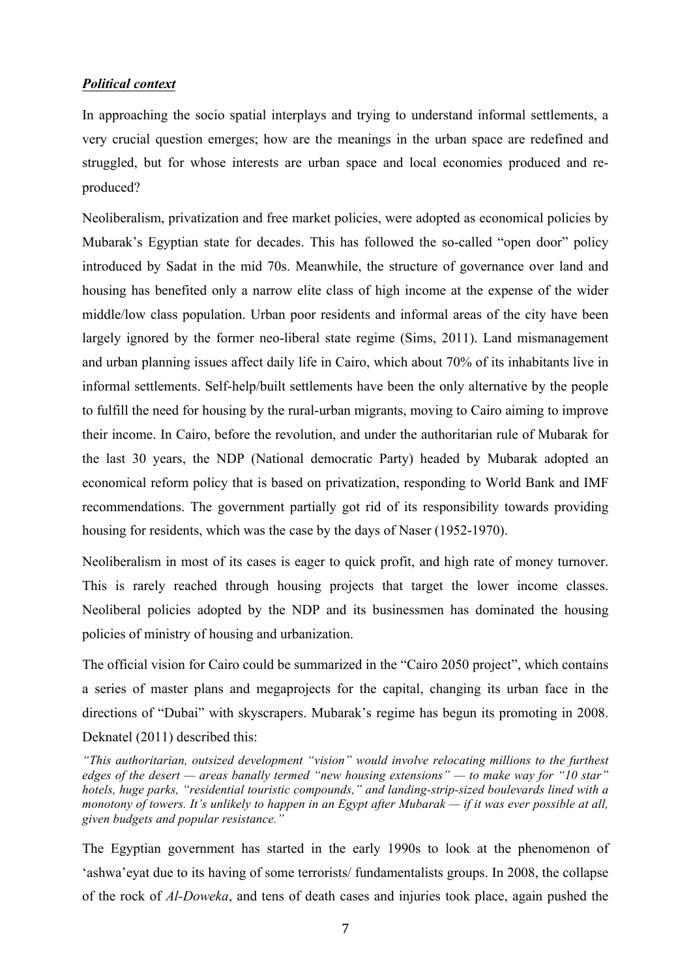# *Political context*

In approaching the socio spatial interplays and trying to understand informal settlements, a very crucial question emerges; how are the meanings in the urban space are redefined and struggled, but for whose interests are urban space and local economies produced and reproduced?

Neoliberalism, privatization and free market policies, were adopted as economical policies by Mubarak's Egyptian state for decades. This has followed the so-called "open door" policy introduced by Sadat in the mid 70s. Meanwhile, the structure of governance over land and housing has benefited only a narrow elite class of high income at the expense of the wider middle/low class population. Urban poor residents and informal areas of the city have been largely ignored by the former neo-liberal state regime (Sims, 2011). Land mismanagement and urban planning issues affect daily life in Cairo, which about 70% of its inhabitants live in informal settlements. Self-help/built settlements have been the only alternative by the people to fulfill the need for housing by the rural-urban migrants, moving to Cairo aiming to improve their income. In Cairo, before the revolution, and under the authoritarian rule of Mubarak for the last 30 years, the NDP (National democratic Party) headed by Mubarak adopted an economical reform policy that is based on privatization, responding to World Bank and IMF recommendations. The government partially got rid of its responsibility towards providing housing for residents, which was the case by the days of Naser (1952-1970).

Neoliberalism in most of its cases is eager to quick profit, and high rate of money turnover. This is rarely reached through housing projects that target the lower income classes. Neoliberal policies adopted by the NDP and its businessmen has dominated the housing policies of ministry of housing and urbanization.

The official vision for Cairo could be summarized in the "Cairo 2050 project", which contains a series of master plans and megaprojects for the capital, changing its urban face in the directions of "Dubai" with skyscrapers. Mubarak's regime has begun its promoting in 2008. Deknatel (2011) described this:

The Egyptian government has started in the early 1990s to look at the phenomenon of 'ashwa'eyat due to its having of some terrorists/ fundamentalists groups. In 2008, the collapse of the rock of *Al-Doweka*, and tens of death cases and injuries took place, again pushed the

*<sup>&</sup>quot;This authoritarian, outsized development "vision" would involve relocating millions to the furthest edges of the desert — areas banally termed "new housing extensions" — to make way for "10 star" hotels, huge parks, "residential touristic compounds," and landing-strip-sized boulevards lined with a monotony of towers. It's unlikely to happen in an Egypt after Mubarak — if it was ever possible at all, given budgets and popular resistance."*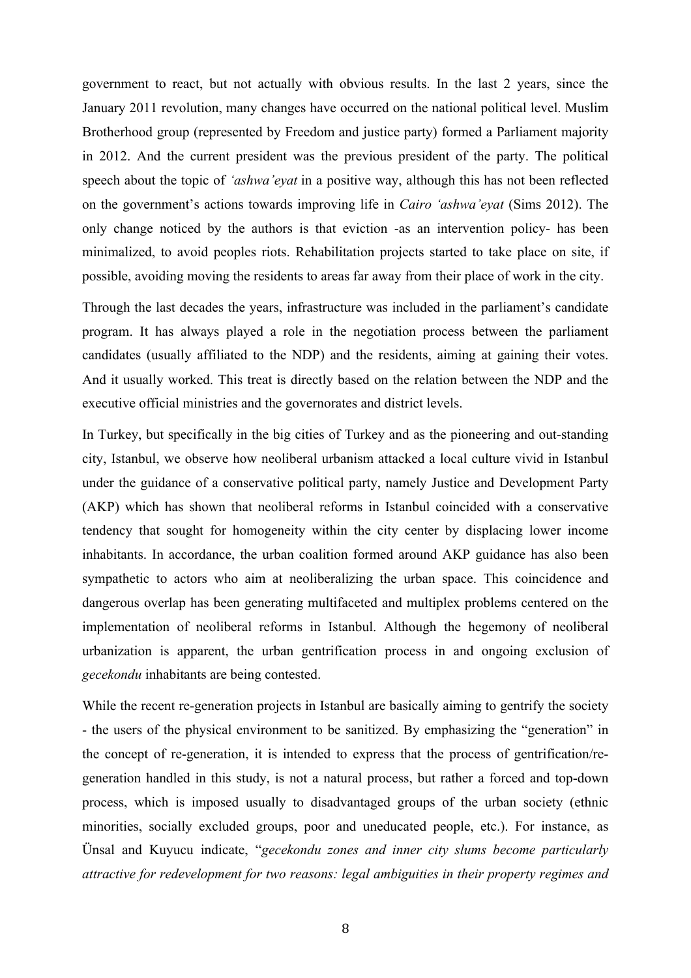government to react, but not actually with obvious results. In the last 2 years, since the January 2011 revolution, many changes have occurred on the national political level. Muslim Brotherhood group (represented by Freedom and justice party) formed a Parliament majority in 2012. And the current president was the previous president of the party. The political speech about the topic of *'ashwa'eyat* in a positive way, although this has not been reflected on the government's actions towards improving life in *Cairo 'ashwa'eyat* (Sims 2012). The only change noticed by the authors is that eviction -as an intervention policy- has been minimalized, to avoid peoples riots. Rehabilitation projects started to take place on site, if possible, avoiding moving the residents to areas far away from their place of work in the city.

Through the last decades the years, infrastructure was included in the parliament's candidate program. It has always played a role in the negotiation process between the parliament candidates (usually affiliated to the NDP) and the residents, aiming at gaining their votes. And it usually worked. This treat is directly based on the relation between the NDP and the executive official ministries and the governorates and district levels.

In Turkey, but specifically in the big cities of Turkey and as the pioneering and out-standing city, Istanbul, we observe how neoliberal urbanism attacked a local culture vivid in Istanbul under the guidance of a conservative political party, namely Justice and Development Party (AKP) which has shown that neoliberal reforms in Istanbul coincided with a conservative tendency that sought for homogeneity within the city center by displacing lower income inhabitants. In accordance, the urban coalition formed around AKP guidance has also been sympathetic to actors who aim at neoliberalizing the urban space. This coincidence and dangerous overlap has been generating multifaceted and multiplex problems centered on the implementation of neoliberal reforms in Istanbul. Although the hegemony of neoliberal urbanization is apparent, the urban gentrification process in and ongoing exclusion of *gecekondu* inhabitants are being contested.

While the recent re-generation projects in Istanbul are basically aiming to gentrify the society - the users of the physical environment to be sanitized. By emphasizing the "generation" in the concept of re-generation, it is intended to express that the process of gentrification/regeneration handled in this study, is not a natural process, but rather a forced and top-down process, which is imposed usually to disadvantaged groups of the urban society (ethnic minorities, socially excluded groups, poor and uneducated people, etc.). For instance, as Ünsal and Kuyucu indicate, "*gecekondu zones and inner city slums become particularly attractive for redevelopment for two reasons: legal ambiguities in their property regimes and*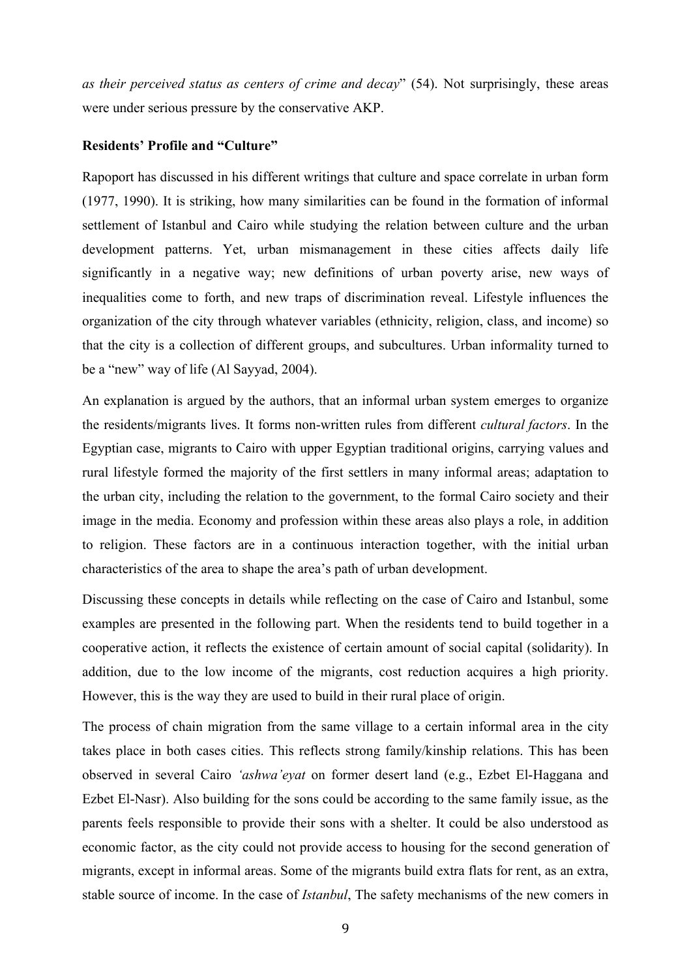*as their perceived status as centers of crime and decay*" (54). Not surprisingly, these areas were under serious pressure by the conservative AKP.

## **Residents' Profile and "Culture"**

Rapoport has discussed in his different writings that culture and space correlate in urban form (1977, 1990). It is striking, how many similarities can be found in the formation of informal settlement of Istanbul and Cairo while studying the relation between culture and the urban development patterns. Yet, urban mismanagement in these cities affects daily life significantly in a negative way; new definitions of urban poverty arise, new ways of inequalities come to forth, and new traps of discrimination reveal. Lifestyle influences the organization of the city through whatever variables (ethnicity, religion, class, and income) so that the city is a collection of different groups, and subcultures. Urban informality turned to be a "new" way of life (Al Sayyad, 2004).

An explanation is argued by the authors, that an informal urban system emerges to organize the residents/migrants lives. It forms non-written rules from different *cultural factors*. In the Egyptian case, migrants to Cairo with upper Egyptian traditional origins, carrying values and rural lifestyle formed the majority of the first settlers in many informal areas; adaptation to the urban city, including the relation to the government, to the formal Cairo society and their image in the media. Economy and profession within these areas also plays a role, in addition to religion. These factors are in a continuous interaction together, with the initial urban characteristics of the area to shape the area's path of urban development.

Discussing these concepts in details while reflecting on the case of Cairo and Istanbul, some examples are presented in the following part. When the residents tend to build together in a cooperative action, it reflects the existence of certain amount of social capital (solidarity). In addition, due to the low income of the migrants, cost reduction acquires a high priority. However, this is the way they are used to build in their rural place of origin.

The process of chain migration from the same village to a certain informal area in the city takes place in both cases cities. This reflects strong family/kinship relations. This has been observed in several Cairo *'ashwa'eyat* on former desert land (e.g., Ezbet El-Haggana and Ezbet El-Nasr). Also building for the sons could be according to the same family issue, as the parents feels responsible to provide their sons with a shelter. It could be also understood as economic factor, as the city could not provide access to housing for the second generation of migrants, except in informal areas. Some of the migrants build extra flats for rent, as an extra, stable source of income. In the case of *Istanbul*, The safety mechanisms of the new comers in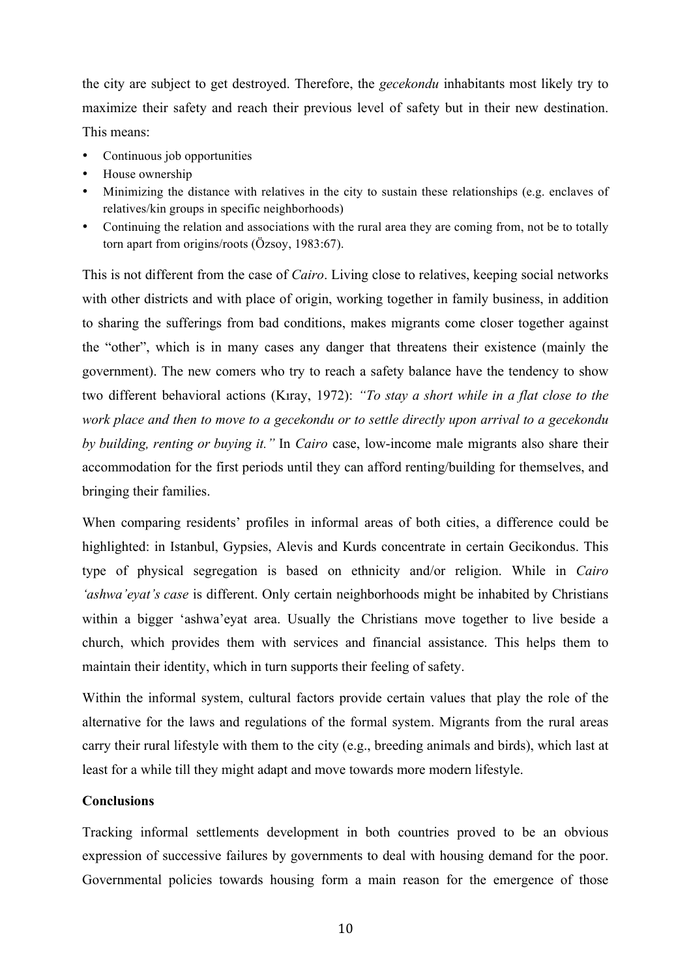the city are subject to get destroyed. Therefore, the *gecekondu* inhabitants most likely try to maximize their safety and reach their previous level of safety but in their new destination. This means:

- Continuous job opportunities
- House ownership
- Minimizing the distance with relatives in the city to sustain these relationships (e.g. enclaves of relatives/kin groups in specific neighborhoods)
- Continuing the relation and associations with the rural area they are coming from, not be to totally torn apart from origins/roots (Özsoy, 1983:67).

This is not different from the case of *Cairo*. Living close to relatives, keeping social networks with other districts and with place of origin, working together in family business, in addition to sharing the sufferings from bad conditions, makes migrants come closer together against the "other", which is in many cases any danger that threatens their existence (mainly the government). The new comers who try to reach a safety balance have the tendency to show two different behavioral actions (Kıray, 1972): *"To stay a short while in a flat close to the work place and then to move to a gecekondu or to settle directly upon arrival to a gecekondu by building, renting or buying it."* In *Cairo* case, low-income male migrants also share their accommodation for the first periods until they can afford renting/building for themselves, and bringing their families.

When comparing residents' profiles in informal areas of both cities, a difference could be highlighted: in Istanbul, Gypsies, Alevis and Kurds concentrate in certain Gecikondus. This type of physical segregation is based on ethnicity and/or religion. While in *Cairo 'ashwa'eyat's case* is different. Only certain neighborhoods might be inhabited by Christians within a bigger 'ashwa'eyat area. Usually the Christians move together to live beside a church, which provides them with services and financial assistance. This helps them to maintain their identity, which in turn supports their feeling of safety.

Within the informal system, cultural factors provide certain values that play the role of the alternative for the laws and regulations of the formal system. Migrants from the rural areas carry their rural lifestyle with them to the city (e.g., breeding animals and birds), which last at least for a while till they might adapt and move towards more modern lifestyle.

# **Conclusions**

Tracking informal settlements development in both countries proved to be an obvious expression of successive failures by governments to deal with housing demand for the poor. Governmental policies towards housing form a main reason for the emergence of those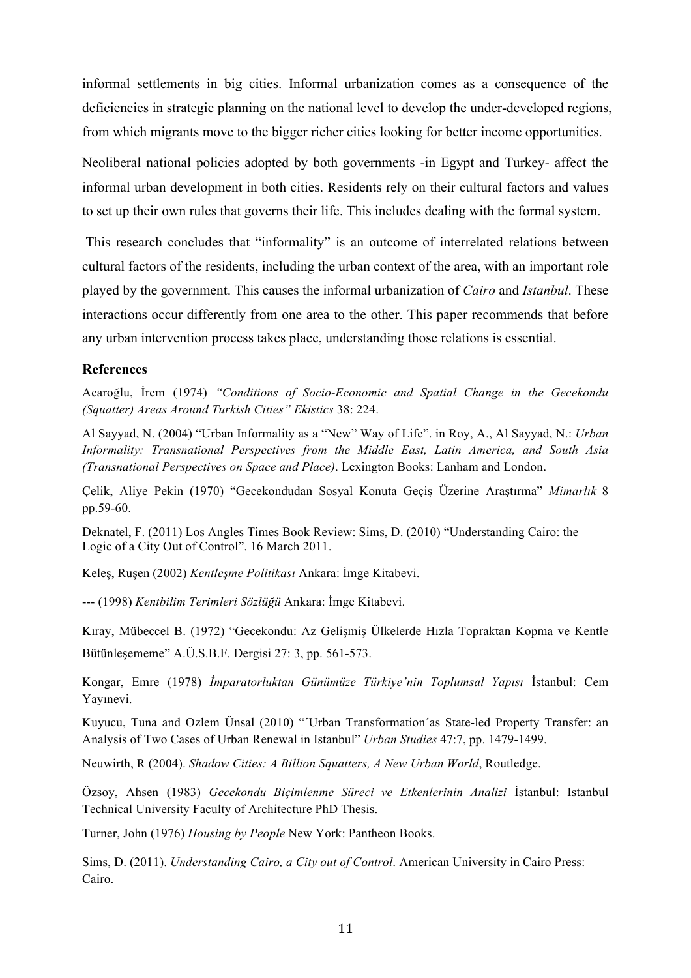informal settlements in big cities. Informal urbanization comes as a consequence of the deficiencies in strategic planning on the national level to develop the under-developed regions, from which migrants move to the bigger richer cities looking for better income opportunities.

Neoliberal national policies adopted by both governments -in Egypt and Turkey- affect the informal urban development in both cities. Residents rely on their cultural factors and values to set up their own rules that governs their life. This includes dealing with the formal system.

This research concludes that "informality" is an outcome of interrelated relations between cultural factors of the residents, including the urban context of the area, with an important role played by the government. This causes the informal urbanization of *Cairo* and *Istanbul*. These interactions occur differently from one area to the other. This paper recommends that before any urban intervention process takes place, understanding those relations is essential.

## **References**

Acaroğlu, İrem (1974) *"Conditions of Socio-Economic and Spatial Change in the Gecekondu (Squatter) Areas Around Turkish Cities" Ekistics* 38: 224.

Al Sayyad, N. (2004) "Urban Informality as a "New" Way of Life". in Roy, A., Al Sayyad, N.: *Urban Informality: Transnational Perspectives from the Middle East, Latin America, and South Asia (Transnational Perspectives on Space and Place)*. Lexington Books: Lanham and London.

Çelik, Aliye Pekin (1970) "Gecekondudan Sosyal Konuta Geçiş Üzerine Araştırma" *Mimarlık* 8 pp.59-60.

Deknatel, F. (2011) Los Angles Times Book Review: Sims, D. (2010) "Understanding Cairo: the Logic of a City Out of Control". 16 March 2011.

Keleş, Ruşen (2002) *Kentleşme Politikası* Ankara: İmge Kitabevi.

--- (1998) *Kentbilim Terimleri Sözlüğü* Ankara: İmge Kitabevi.

Kıray, Mübeccel B. (1972) "Gecekondu: Az Gelişmiş Ülkelerde Hızla Topraktan Kopma ve Kentle Bütünleşememe" A.Ü.S.B.F. Dergisi 27: 3, pp. 561-573.

Kongar, Emre (1978) *İmparatorluktan Günümüze Türkiye'nin Toplumsal Yapısı* İstanbul: Cem Yayınevi.

Kuyucu, Tuna and Ozlem Ünsal (2010) "´Urban Transformation´as State-led Property Transfer: an Analysis of Two Cases of Urban Renewal in Istanbul" *Urban Studies* 47:7, pp. 1479-1499.

Neuwirth, R (2004). *Shadow Cities: A Billion Squatters, A New Urban World*, Routledge.

Özsoy, Ahsen (1983) *Gecekondu Biçimlenme Süreci ve Etkenlerinin Analizi* İstanbul: Istanbul Technical University Faculty of Architecture PhD Thesis.

Turner, John (1976) *Housing by People* New York: Pantheon Books.

Sims, D. (2011). *Understanding Cairo, a City out of Control*. American University in Cairo Press: Cairo.